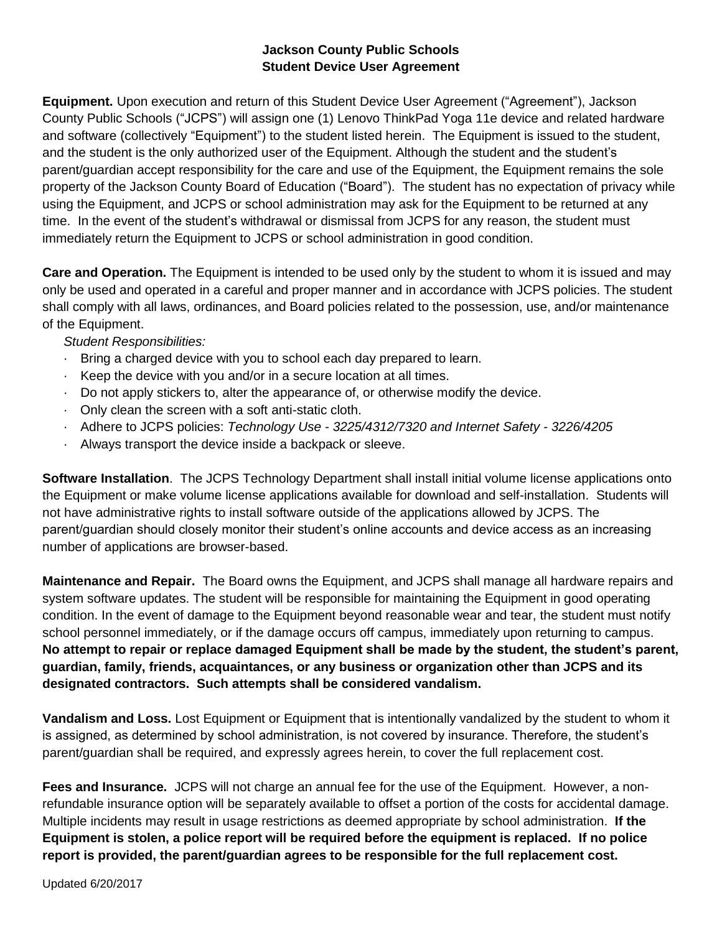## **Jackson County Public Schools Student Device User Agreement**

**Equipment.** Upon execution and return of this Student Device User Agreement ("Agreement"), Jackson County Public Schools ("JCPS") will assign one (1) Lenovo ThinkPad Yoga 11e device and related hardware and software (collectively "Equipment") to the student listed herein. The Equipment is issued to the student, and the student is the only authorized user of the Equipment. Although the student and the student's parent/guardian accept responsibility for the care and use of the Equipment, the Equipment remains the sole property of the Jackson County Board of Education ("Board"). The student has no expectation of privacy while using the Equipment, and JCPS or school administration may ask for the Equipment to be returned at any time. In the event of the student's withdrawal or dismissal from JCPS for any reason, the student must immediately return the Equipment to JCPS or school administration in good condition.

**Care and Operation.** The Equipment is intended to be used only by the student to whom it is issued and may only be used and operated in a careful and proper manner and in accordance with JCPS policies. The student shall comply with all laws, ordinances, and Board policies related to the possession, use, and/or maintenance of the Equipment.

## *Student Responsibilities:*

- · Bring a charged device with you to school each day prepared to learn.
- · Keep the device with you and/or in a secure location at all times.
- · Do not apply stickers to, alter the appearance of, or otherwise modify the device.
- · Only clean the screen with a soft anti-static cloth.
- · Adhere to JCPS policies: *Technology Use - 3225/4312/7320 and Internet Safety - 3226/4205*
- · Always transport the device inside a backpack or sleeve.

**Software Installation**. The JCPS Technology Department shall install initial volume license applications onto the Equipment or make volume license applications available for download and self-installation. Students will not have administrative rights to install software outside of the applications allowed by JCPS. The parent/guardian should closely monitor their student's online accounts and device access as an increasing number of applications are browser-based.

**Maintenance and Repair.** The Board owns the Equipment, and JCPS shall manage all hardware repairs and system software updates. The student will be responsible for maintaining the Equipment in good operating condition. In the event of damage to the Equipment beyond reasonable wear and tear, the student must notify school personnel immediately, or if the damage occurs off campus, immediately upon returning to campus. **No attempt to repair or replace damaged Equipment shall be made by the student, the student's parent, guardian, family, friends, acquaintances, or any business or organization other than JCPS and its designated contractors. Such attempts shall be considered vandalism.** 

**Vandalism and Loss.** Lost Equipment or Equipment that is intentionally vandalized by the student to whom it is assigned, as determined by school administration, is not covered by insurance. Therefore, the student's parent/guardian shall be required, and expressly agrees herein, to cover the full replacement cost.

**Fees and Insurance.** JCPS will not charge an annual fee for the use of the Equipment. However, a nonrefundable insurance option will be separately available to offset a portion of the costs for accidental damage. Multiple incidents may result in usage restrictions as deemed appropriate by school administration. **If the Equipment is stolen, a police report will be required before the equipment is replaced. If no police report is provided, the parent/guardian agrees to be responsible for the full replacement cost.**